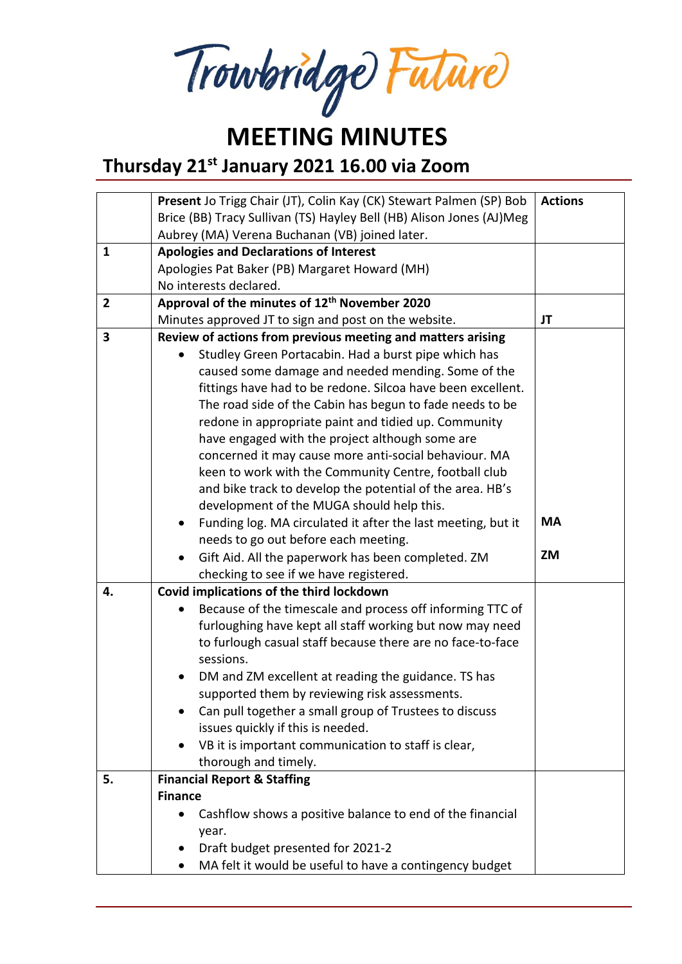Trowbridge Future

## **MEETING MINUTES**

**Thursday 21st January 2021 16.00 via Zoom**

|                         | Present Jo Trigg Chair (JT), Colin Kay (CK) Stewart Palmen (SP) Bob       | <b>Actions</b> |
|-------------------------|---------------------------------------------------------------------------|----------------|
|                         | Brice (BB) Tracy Sullivan (TS) Hayley Bell (HB) Alison Jones (AJ)Meg      |                |
|                         | Aubrey (MA) Verena Buchanan (VB) joined later.                            |                |
| $\mathbf{1}$            | <b>Apologies and Declarations of Interest</b>                             |                |
|                         | Apologies Pat Baker (PB) Margaret Howard (MH)                             |                |
|                         | No interests declared.                                                    |                |
| $\overline{2}$          | Approval of the minutes of 12 <sup>th</sup> November 2020                 |                |
|                         | Minutes approved JT to sign and post on the website.                      | JT             |
| $\overline{\mathbf{3}}$ | Review of actions from previous meeting and matters arising               |                |
|                         | Studley Green Portacabin. Had a burst pipe which has<br>$\bullet$         |                |
|                         | caused some damage and needed mending. Some of the                        |                |
|                         | fittings have had to be redone. Silcoa have been excellent.               |                |
|                         | The road side of the Cabin has begun to fade needs to be                  |                |
|                         | redone in appropriate paint and tidied up. Community                      |                |
|                         | have engaged with the project although some are                           |                |
|                         | concerned it may cause more anti-social behaviour. MA                     |                |
|                         | keen to work with the Community Centre, football club                     |                |
|                         | and bike track to develop the potential of the area. HB's                 |                |
|                         | development of the MUGA should help this.                                 |                |
|                         | Funding log. MA circulated it after the last meeting, but it<br>$\bullet$ | <b>MA</b>      |
|                         | needs to go out before each meeting.                                      |                |
|                         | Gift Aid. All the paperwork has been completed. ZM                        | <b>ZM</b>      |
|                         | checking to see if we have registered.                                    |                |
| 4.                      | Covid implications of the third lockdown                                  |                |
|                         | Because of the timescale and process off informing TTC of                 |                |
|                         | furloughing have kept all staff working but now may need                  |                |
|                         | to furlough casual staff because there are no face-to-face                |                |
|                         | sessions.                                                                 |                |
|                         | DM and ZM excellent at reading the guidance. TS has<br>$\bullet$          |                |
|                         | supported them by reviewing risk assessments.                             |                |
|                         | Can pull together a small group of Trustees to discuss                    |                |
|                         | issues quickly if this is needed.                                         |                |
|                         | VB it is important communication to staff is clear,<br>$\bullet$          |                |
|                         | thorough and timely.                                                      |                |
| 5.                      | <b>Financial Report &amp; Staffing</b>                                    |                |
|                         | <b>Finance</b>                                                            |                |
|                         | Cashflow shows a positive balance to end of the financial                 |                |
|                         | year.                                                                     |                |
|                         | Draft budget presented for 2021-2                                         |                |
|                         | MA felt it would be useful to have a contingency budget                   |                |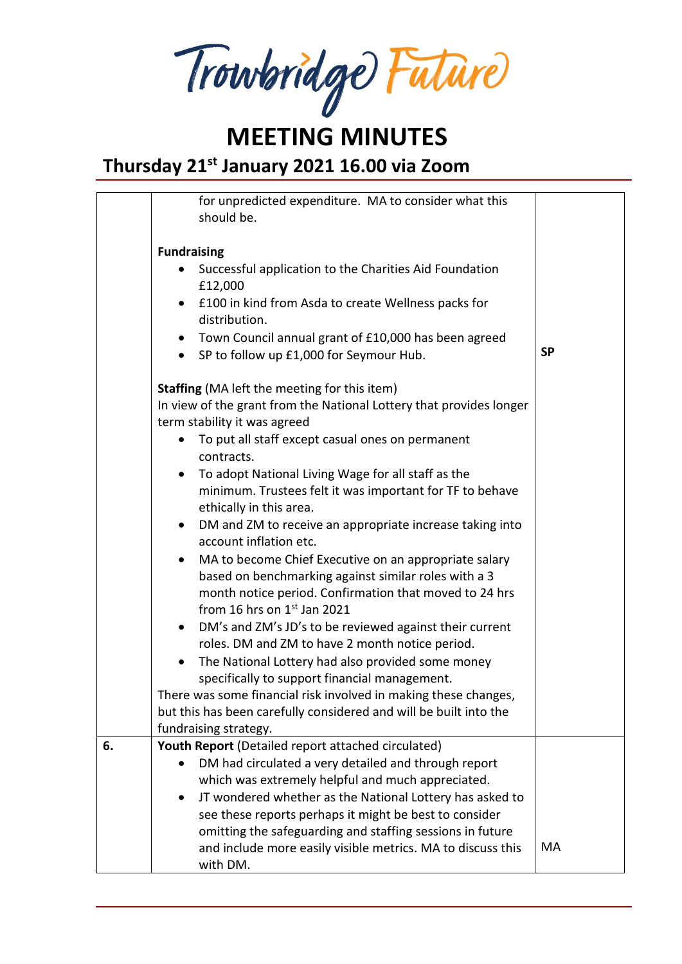Trowbridge Future

## **MEETING MINUTES**

#### **Thursday 21st January 2021 16.00 via Zoom**

|    | for unpredicted expenditure. MA to consider what this<br>should be.                                                                                                                                                 |           |
|----|---------------------------------------------------------------------------------------------------------------------------------------------------------------------------------------------------------------------|-----------|
|    | <b>Fundraising</b>                                                                                                                                                                                                  |           |
|    | Successful application to the Charities Aid Foundation<br>£12,000                                                                                                                                                   |           |
|    | £100 in kind from Asda to create Wellness packs for<br>$\bullet$<br>distribution.                                                                                                                                   |           |
|    | Town Council annual grant of £10,000 has been agreed<br>$\bullet$                                                                                                                                                   |           |
|    | SP to follow up £1,000 for Seymour Hub.<br>$\bullet$                                                                                                                                                                | <b>SP</b> |
|    | <b>Staffing</b> (MA left the meeting for this item)                                                                                                                                                                 |           |
|    | In view of the grant from the National Lottery that provides longer<br>term stability it was agreed                                                                                                                 |           |
|    | To put all staff except casual ones on permanent<br>contracts.                                                                                                                                                      |           |
|    | To adopt National Living Wage for all staff as the<br>minimum. Trustees felt it was important for TF to behave                                                                                                      |           |
|    | ethically in this area.<br>DM and ZM to receive an appropriate increase taking into<br>$\bullet$<br>account inflation etc.                                                                                          |           |
|    | MA to become Chief Executive on an appropriate salary<br>$\bullet$<br>based on benchmarking against similar roles with a 3<br>month notice period. Confirmation that moved to 24 hrs<br>from 16 hrs on 1st Jan 2021 |           |
|    | DM's and ZM's JD's to be reviewed against their current<br>$\bullet$<br>roles. DM and ZM to have 2 month notice period.                                                                                             |           |
|    | The National Lottery had also provided some money<br>$\bullet$                                                                                                                                                      |           |
|    | specifically to support financial management.                                                                                                                                                                       |           |
|    | There was some financial risk involved in making these changes,                                                                                                                                                     |           |
|    | but this has been carefully considered and will be built into the                                                                                                                                                   |           |
|    | fundraising strategy.                                                                                                                                                                                               |           |
| 6. | Youth Report (Detailed report attached circulated)<br>DM had circulated a very detailed and through report<br>$\bullet$                                                                                             |           |
|    | which was extremely helpful and much appreciated.                                                                                                                                                                   |           |
|    | JT wondered whether as the National Lottery has asked to<br>$\bullet$                                                                                                                                               |           |
|    | see these reports perhaps it might be best to consider                                                                                                                                                              |           |
|    | omitting the safeguarding and staffing sessions in future                                                                                                                                                           |           |
|    | and include more easily visible metrics. MA to discuss this<br>with DM.                                                                                                                                             | MA        |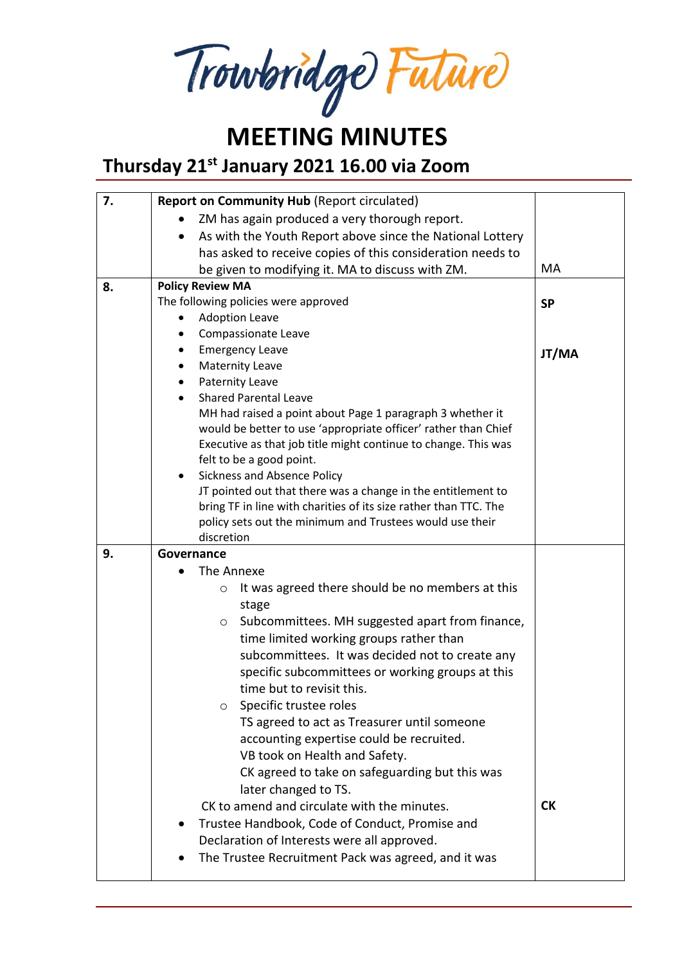Trowbridge Future

#### **MEETING MINUTES Thursday 21st January 2021 16.00 via Zoom**

| 7. | <b>Report on Community Hub (Report circulated)</b>                     |           |
|----|------------------------------------------------------------------------|-----------|
|    | ZM has again produced a very thorough report.                          |           |
|    | As with the Youth Report above since the National Lottery<br>$\bullet$ |           |
|    | has asked to receive copies of this consideration needs to             |           |
|    | be given to modifying it. MA to discuss with ZM.                       | МA        |
| 8. | <b>Policy Review MA</b>                                                |           |
|    | The following policies were approved                                   | <b>SP</b> |
|    | <b>Adoption Leave</b>                                                  |           |
|    | Compassionate Leave                                                    |           |
|    | <b>Emergency Leave</b>                                                 | JT/MA     |
|    | <b>Maternity Leave</b>                                                 |           |
|    | Paternity Leave                                                        |           |
|    | <b>Shared Parental Leave</b>                                           |           |
|    | MH had raised a point about Page 1 paragraph 3 whether it              |           |
|    | would be better to use 'appropriate officer' rather than Chief         |           |
|    | Executive as that job title might continue to change. This was         |           |
|    | felt to be a good point.                                               |           |
|    | Sickness and Absence Policy<br>$\bullet$                               |           |
|    | JT pointed out that there was a change in the entitlement to           |           |
|    | bring TF in line with charities of its size rather than TTC. The       |           |
|    | policy sets out the minimum and Trustees would use their               |           |
|    | discretion                                                             |           |
| 9. | Governance                                                             |           |
|    | The Annexe                                                             |           |
|    | It was agreed there should be no members at this<br>$\circ$            |           |
|    | stage                                                                  |           |
|    | Subcommittees. MH suggested apart from finance,<br>O                   |           |
|    | time limited working groups rather than                                |           |
|    | subcommittees. It was decided not to create any                        |           |
|    | specific subcommittees or working groups at this                       |           |
|    | time but to revisit this.                                              |           |
|    | Specific trustee roles<br>$\circ$                                      |           |
|    | TS agreed to act as Treasurer until someone                            |           |
|    | accounting expertise could be recruited.                               |           |
|    | VB took on Health and Safety.                                          |           |
|    | CK agreed to take on safeguarding but this was                         |           |
|    | later changed to TS.                                                   |           |
|    | CK to amend and circulate with the minutes.                            | <b>CK</b> |
|    | Trustee Handbook, Code of Conduct, Promise and                         |           |
|    | Declaration of Interests were all approved.                            |           |
|    | The Trustee Recruitment Pack was agreed, and it was                    |           |
|    |                                                                        |           |